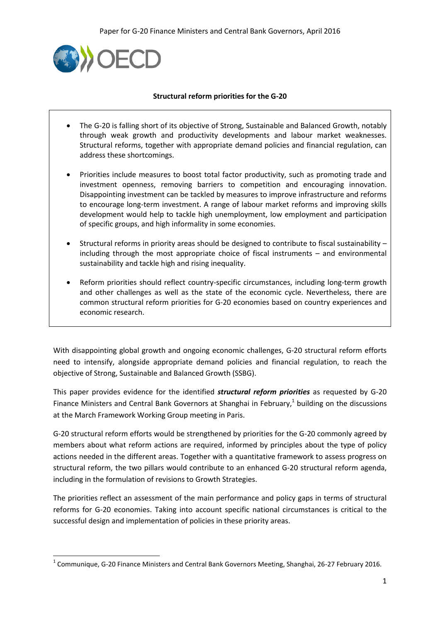

**.** 

#### **Structural reform priorities for the G-20**

- The G-20 is falling short of its objective of Strong, Sustainable and Balanced Growth, notably through weak growth and productivity developments and labour market weaknesses. Structural reforms, together with appropriate demand policies and financial regulation, can address these shortcomings.
- Priorities include measures to boost total factor productivity, such as promoting trade and investment openness, removing barriers to competition and encouraging innovation. Disappointing investment can be tackled by measures to improve infrastructure and reforms to encourage long-term investment. A range of labour market reforms and improving skills development would help to tackle high unemployment, low employment and participation of specific groups, and high informality in some economies.
- Structural reforms in priority areas should be designed to contribute to fiscal sustainability including through the most appropriate choice of fiscal instruments – and environmental sustainability and tackle high and rising inequality.
- Reform priorities should reflect country-specific circumstances, including long-term growth and other challenges as well as the state of the economic cycle. Nevertheless, there are common structural reform priorities for G-20 economies based on country experiences and economic research.

With disappointing global growth and ongoing economic challenges, G-20 structural reform efforts need to intensify, alongside appropriate demand policies and financial regulation, to reach the objective of Strong, Sustainable and Balanced Growth (SSBG).

This paper provides evidence for the identified *structural reform priorities* as requested by G-20 Finance Ministers and Central Bank Governors at Shanghai in February,<sup>1</sup> building on the discussions at the March Framework Working Group meeting in Paris.

G-20 structural reform efforts would be strengthened by priorities for the G-20 commonly agreed by members about what reform actions are required, informed by principles about the type of policy actions needed in the different areas. Together with a quantitative framework to assess progress on structural reform, the two pillars would contribute to an enhanced G-20 structural reform agenda, including in the formulation of revisions to Growth Strategies.

The priorities reflect an assessment of the main performance and policy gaps in terms of structural reforms for G-20 economies. Taking into account specific national circumstances is critical to the successful design and implementation of policies in these priority areas.

 $^{1}$  Communique, G-20 Finance Ministers and Central Bank Governors Meeting, Shanghai, 26-27 February 2016.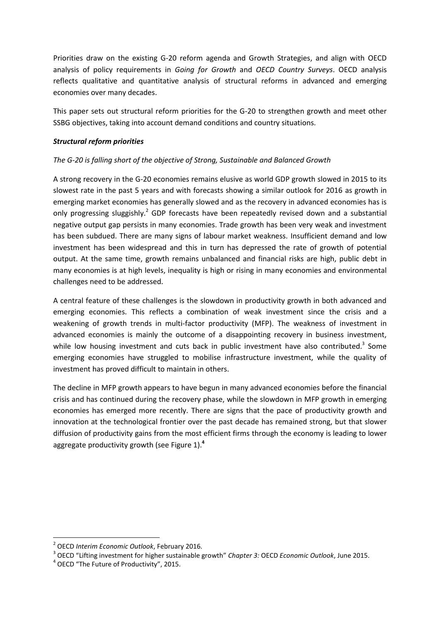Priorities draw on the existing G-20 reform agenda and Growth Strategies, and align with OECD analysis of policy requirements in *Going for Growth* and *OECD Country Surveys*. OECD analysis reflects qualitative and quantitative analysis of structural reforms in advanced and emerging economies over many decades.

This paper sets out structural reform priorities for the G-20 to strengthen growth and meet other SSBG objectives, taking into account demand conditions and country situations.

#### *Structural reform priorities*

# *The G-20 is falling short of the objective of Strong, Sustainable and Balanced Growth*

A strong recovery in the G-20 economies remains elusive as world GDP growth slowed in 2015 to its slowest rate in the past 5 years and with forecasts showing a similar outlook for 2016 as growth in emerging market economies has generally slowed and as the recovery in advanced economies has is only progressing sluggishly.<sup>2</sup> GDP forecasts have been repeatedly revised down and a substantial negative output gap persists in many economies. Trade growth has been very weak and investment has been subdued. There are many signs of labour market weakness. Insufficient demand and low investment has been widespread and this in turn has depressed the rate of growth of potential output. At the same time, growth remains unbalanced and financial risks are high, public debt in many economies is at high levels, inequality is high or rising in many economies and environmental challenges need to be addressed.

A central feature of these challenges is the slowdown in productivity growth in both advanced and emerging economies. This reflects a combination of weak investment since the crisis and a weakening of growth trends in multi-factor productivity (MFP). The weakness of investment in advanced economies is mainly the outcome of a disappointing recovery in business investment, while low housing investment and cuts back in public investment have also contributed.<sup>3</sup> Some emerging economies have struggled to mobilise infrastructure investment, while the quality of investment has proved difficult to maintain in others.

The decline in MFP growth appears to have begun in many advanced economies before the financial crisis and has continued during the recovery phase, while the slowdown in MFP growth in emerging economies has emerged more recently. There are signs that the pace of productivity growth and innovation at the technological frontier over the past decade has remained strong, but that slower diffusion of productivity gains from the most efficient firms through the economy is leading to lower aggregate productivity growth (see Figure 1). **4**

**.** 

<sup>2</sup> OECD *Interim Economic Outlook*, February 2016.

<sup>3</sup> OECD "Lifting investment for higher sustainable growth" *Chapter 3:* OECD *Economic Outlook*, June 2015.

<sup>&</sup>lt;sup>4</sup> OECD "The Future of Productivity", 2015.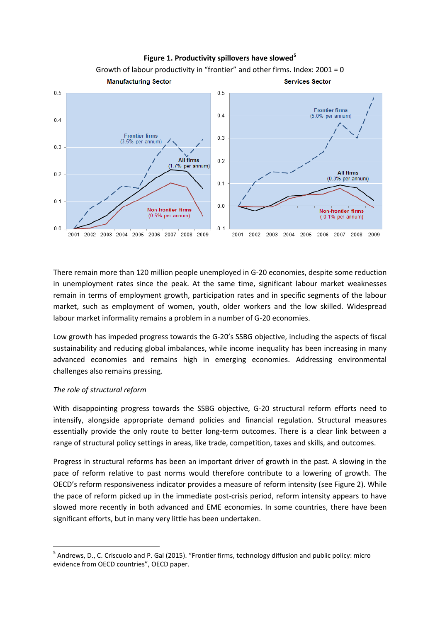

There remain more than 120 million people unemployed in G-20 economies, despite some reduction in unemployment rates since the peak. At the same time, significant labour market weaknesses remain in terms of employment growth, participation rates and in specific segments of the labour market, such as employment of women, youth, older workers and the low skilled. Widespread labour market informality remains a problem in a number of G-20 economies.

Low growth has impeded progress towards the G-20's SSBG objective, including the aspects of fiscal sustainability and reducing global imbalances, while income inequality has been increasing in many advanced economies and remains high in emerging economies. Addressing environmental challenges also remains pressing.

# *The role of structural reform*

**.** 

With disappointing progress towards the SSBG objective, G-20 structural reform efforts need to intensify, alongside appropriate demand policies and financial regulation. Structural measures essentially provide the only route to better long-term outcomes. There is a clear link between a range of structural policy settings in areas, like trade, competition, taxes and skills, and outcomes.

Progress in structural reforms has been an important driver of growth in the past. A slowing in the pace of reform relative to past norms would therefore contribute to a lowering of growth. The OECD's reform responsiveness indicator provides a measure of reform intensity (see Figure 2). While the pace of reform picked up in the immediate post-crisis period, reform intensity appears to have slowed more recently in both advanced and EME economies. In some countries, there have been significant efforts, but in many very little has been undertaken.

<sup>&</sup>lt;sup>5</sup> Andrews, D., C. Criscuolo and P. Gal (2015). "Frontier firms, technology diffusion and public policy: micro evidence from OECD countries", OECD paper.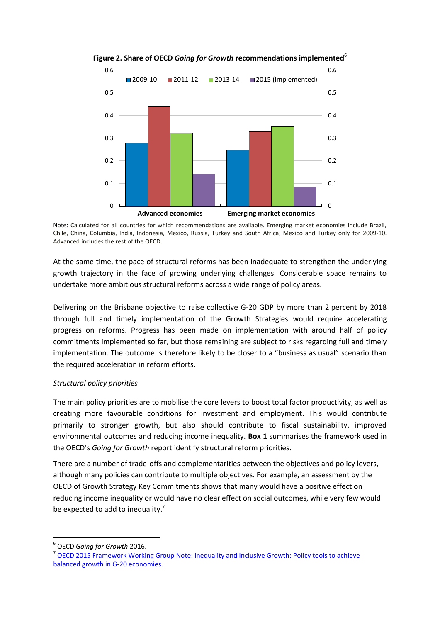

**Figure 2. Share of OECD** *Going for Growth* **recommendations implemented**<sup>6</sup>

Note: Calculated for all countries for which recommendations are available. Emerging market economies include Brazil, Chile, China, Columbia, India, Indonesia, Mexico, Russia, Turkey and South Africa; Mexico and Turkey only for 2009-10. Advanced includes the rest of the OECD.

At the same time, the pace of structural reforms has been inadequate to strengthen the underlying growth trajectory in the face of growing underlying challenges. Considerable space remains to undertake more ambitious structural reforms across a wide range of policy areas.

Delivering on the Brisbane objective to raise collective G-20 GDP by more than 2 percent by 2018 through full and timely implementation of the Growth Strategies would require accelerating progress on reforms. Progress has been made on implementation with around half of policy commitments implemented so far, but those remaining are subject to risks regarding full and timely implementation. The outcome is therefore likely to be closer to a "business as usual" scenario than the required acceleration in reform efforts.

# *Structural policy priorities*

The main policy priorities are to mobilise the core levers to boost total factor productivity, as well as creating more favourable conditions for investment and employment. This would contribute primarily to stronger growth, but also should contribute to fiscal sustainability, improved environmental outcomes and reducing income inequality. **Box 1** summarises the framework used in the OECD's *Going for Growth* report identify structural reform priorities.

There are a number of trade-offs and complementarities between the objectives and policy levers, although many policies can contribute to multiple objectives. For example, an assessment by the OECD of Growth Strategy Key Commitments shows that many would have a positive effect on reducing income inequality or would have no clear effect on social outcomes, while very few would be expected to add to inequality.<sup>7</sup>

**.** 

<sup>7</sup> OECD 2015 Framework Working Group Note: Inequality and Inclusive Growth: Policy tools to achieve [balanced growth in G-20 economies.](http://www.oecd.org/g20/topics/framework-strong-sustainable-balanced-growth/Inequality-and-Inclusive-Growth-Policy-Tools-to-Achieve-Balanced-Growth-in-g20-Economies.pdf)

<sup>6</sup> OECD *Going for Growth* 2016.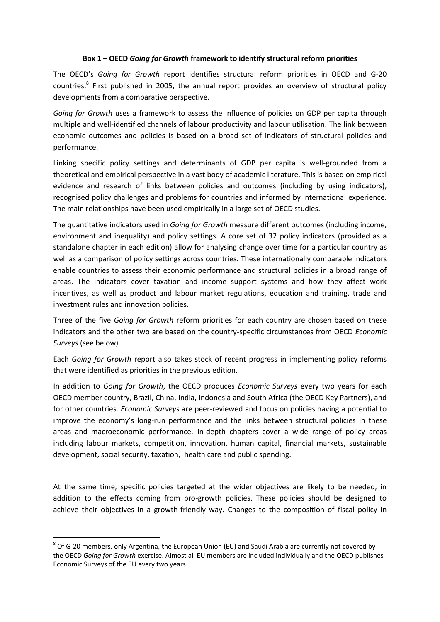#### **Box 1 – OECD** *Going for Growth* **framework to identify structural reform priorities**

The OECD's *Going for Growth* report identifies structural reform priorities in OECD and G-20 countries.<sup>8</sup> First published in 2005, the annual report provides an overview of structural policy developments from a comparative perspective.

*Going for Growth* uses a framework to assess the influence of policies on GDP per capita through multiple and well-identified channels of labour productivity and labour utilisation. The link between economic outcomes and policies is based on a broad set of indicators of structural policies and performance.

Linking specific policy settings and determinants of GDP per capita is well-grounded from a theoretical and empirical perspective in a vast body of academic literature. This is based on empirical evidence and research of links between policies and outcomes (including by using indicators), recognised policy challenges and problems for countries and informed by international experience. The main relationships have been used empirically in a large set of OECD studies.

The quantitative indicators used in *Going for Growth* measure different outcomes (including income, environment and inequality) and policy settings. A core set of 32 policy indicators (provided as a standalone chapter in each edition) allow for analysing change over time for a particular country as well as a comparison of policy settings across countries. These internationally comparable indicators enable countries to assess their economic performance and structural policies in a broad range of areas. The indicators cover taxation and income support systems and how they affect work incentives, as well as product and labour market regulations, education and training, trade and investment rules and innovation policies.

Three of the five *Going for Growth* reform priorities for each country are chosen based on these indicators and the other two are based on the country-specific circumstances from OECD *Economic Surveys* (see below).

Each *Going for Growth* report also takes stock of recent progress in implementing policy reforms that were identified as priorities in the previous edition.

In addition to *Going for Growth*, the OECD produces *Economic Surveys* every two years for each OECD member country, Brazil, China, India, Indonesia and South Africa (the OECD Key Partners), and for other countries. *Economic Surveys* are peer-reviewed and focus on policies having a potential to improve the economy's long-run performance and the links between structural policies in these areas and macroeconomic performance. In-depth chapters cover a wide range of policy areas including labour markets, competition, innovation, human capital, financial markets, sustainable development, social security, taxation, health care and public spending.

At the same time, specific policies targeted at the wider objectives are likely to be needed, in addition to the effects coming from pro-growth policies. These policies should be designed to achieve their objectives in a growth-friendly way. Changes to the composition of fiscal policy in

**.** 

 $^8$  Of G-20 members, only Argentina, the European Union (EU) and Saudi Arabia are currently not covered by the OECD *Going for Growth* exercise. Almost all EU members are included individually and the OECD publishes Economic Surveys of the EU every two years.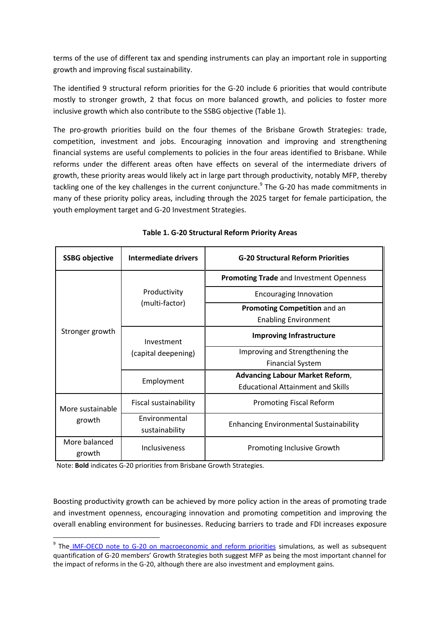terms of the use of different tax and spending instruments can play an important role in supporting growth and improving fiscal sustainability.

The identified 9 structural reform priorities for the G-20 include 6 priorities that would contribute mostly to stronger growth, 2 that focus on more balanced growth, and policies to foster more inclusive growth which also contribute to the SSBG objective (Table 1).

The pro-growth priorities build on the four themes of the Brisbane Growth Strategies: trade, competition, investment and jobs. Encouraging innovation and improving and strengthening financial systems are useful complements to policies in the four areas identified to Brisbane. While reforms under the different areas often have effects on several of the intermediate drivers of growth, these priority areas would likely act in large part through productivity, notably MFP, thereby tackling one of the key challenges in the current conjuncture.<sup>9</sup> The G-20 has made commitments in many of these priority policy areas, including through the 2025 target for female participation, the youth employment target and G-20 Investment Strategies.

| <b>SSBG</b> objective      | Intermediate drivers                   | <b>G-20 Structural Reform Priorities</b>                    |
|----------------------------|----------------------------------------|-------------------------------------------------------------|
| Stronger growth            | Productivity<br>(multi-factor)         | <b>Promoting Trade</b> and Investment Openness              |
|                            |                                        | <b>Encouraging Innovation</b>                               |
|                            |                                        | Promoting Competition and an<br><b>Enabling Environment</b> |
|                            | Investment<br>(capital deepening)      | <b>Improving Infrastructure</b>                             |
|                            |                                        | Improving and Strengthening the                             |
|                            |                                        | <b>Financial System</b>                                     |
|                            | Employment                             | <b>Advancing Labour Market Reform,</b>                      |
|                            |                                        | <b>Educational Attainment and Skills</b>                    |
| More sustainable<br>growth | Fiscal sustainability                  | <b>Promoting Fiscal Reform</b>                              |
|                            | <b>Fnvironmental</b><br>sustainability | <b>Enhancing Environmental Sustainability</b>               |
| More balanced<br>growth    | Inclusiveness                          | Promoting Inclusive Growth                                  |

**Table 1. G-20 Structural Reform Priority Areas**

Note: **Bold** indicates G-20 priorities from Brisbane Growth Strategies.

**.** 

Boosting productivity growth can be achieved by more policy action in the areas of promoting trade and investment openness, encouraging innovation and promoting competition and improving the overall enabling environment for businesses. Reducing barriers to trade and FDI increases exposure

<sup>&</sup>lt;sup>9</sup> The [IMF-OECD note to G-20 on macroeconomic and reform priorities](http://www.g20.org/English/Documents/PastPresidency/201512/t20151225_1853.html) simulations, as well as subsequent quantification of G-20 members' Growth Strategies both suggest MFP as being the most important channel for the impact of reforms in the G-20, although there are also investment and employment gains.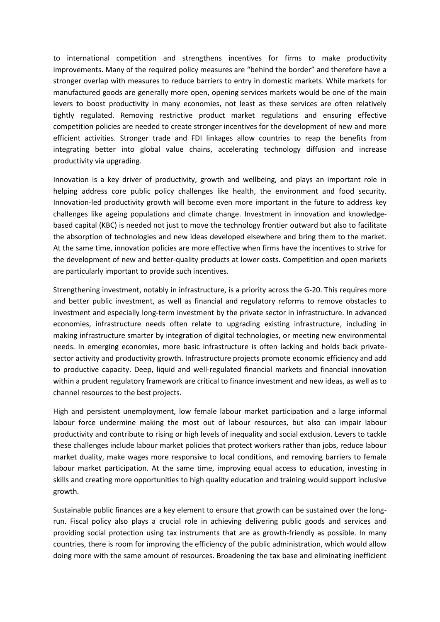to international competition and strengthens incentives for firms to make productivity improvements. Many of the required policy measures are "behind the border" and therefore have a stronger overlap with measures to reduce barriers to entry in domestic markets. While markets for manufactured goods are generally more open, opening services markets would be one of the main levers to boost productivity in many economies, not least as these services are often relatively tightly regulated. Removing restrictive product market regulations and ensuring effective competition policies are needed to create stronger incentives for the development of new and more efficient activities. Stronger trade and FDI linkages allow countries to reap the benefits from integrating better into global value chains, accelerating technology diffusion and increase productivity via upgrading.

Innovation is a key driver of productivity, growth and wellbeing, and plays an important role in helping address core public policy challenges like health, the environment and food security. Innovation-led productivity growth will become even more important in the future to address key challenges like ageing populations and climate change. Investment in innovation and knowledgebased capital (KBC) is needed not just to move the technology frontier outward but also to facilitate the absorption of technologies and new ideas developed elsewhere and bring them to the market. At the same time, innovation policies are more effective when firms have the incentives to strive for the development of new and better-quality products at lower costs. Competition and open markets are particularly important to provide such incentives.

Strengthening investment, notably in infrastructure, is a priority across the G-20. This requires more and better public investment, as well as financial and regulatory reforms to remove obstacles to investment and especially long-term investment by the private sector in infrastructure. In advanced economies, infrastructure needs often relate to upgrading existing infrastructure, including in making infrastructure smarter by integration of digital technologies, or meeting new environmental needs. In emerging economies, more basic infrastructure is often lacking and holds back privatesector activity and productivity growth. Infrastructure projects promote economic efficiency and add to productive capacity. Deep, liquid and well-regulated financial markets and financial innovation within a prudent regulatory framework are critical to finance investment and new ideas, as well as to channel resources to the best projects.

High and persistent unemployment, low female labour market participation and a large informal labour force undermine making the most out of labour resources, but also can impair labour productivity and contribute to rising or high levels of inequality and social exclusion. Levers to tackle these challenges include labour market policies that protect workers rather than jobs, reduce labour market duality, make wages more responsive to local conditions, and removing barriers to female labour market participation. At the same time, improving equal access to education, investing in skills and creating more opportunities to high quality education and training would support inclusive growth.

Sustainable public finances are a key element to ensure that growth can be sustained over the longrun. Fiscal policy also plays a crucial role in achieving delivering public goods and services and providing social protection using tax instruments that are as growth-friendly as possible. In many countries, there is room for improving the efficiency of the public administration, which would allow doing more with the same amount of resources. Broadening the tax base and eliminating inefficient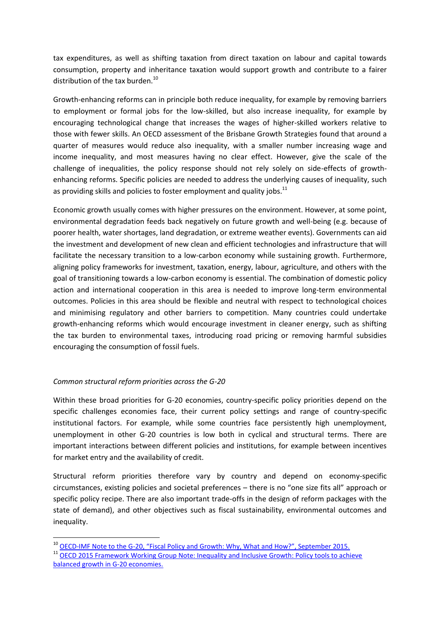tax expenditures, as well as shifting taxation from direct taxation on labour and capital towards consumption, property and inheritance taxation would support growth and contribute to a fairer distribution of the tax burden.<sup>10</sup>

Growth-enhancing reforms can in principle both reduce inequality, for example by removing barriers to employment or formal jobs for the low-skilled, but also increase inequality, for example by encouraging technological change that increases the wages of higher-skilled workers relative to those with fewer skills. An OECD assessment of the Brisbane Growth Strategies found that around a quarter of measures would reduce also inequality, with a smaller number increasing wage and income inequality, and most measures having no clear effect. However, give the scale of the challenge of inequalities, the policy response should not rely solely on side-effects of growthenhancing reforms. Specific policies are needed to address the underlying causes of inequality, such as providing skills and policies to foster employment and quality iobs.<sup>11</sup>

Economic growth usually comes with higher pressures on the environment. However, at some point, environmental degradation feeds back negatively on future growth and well-being (e.g. because of poorer health, water shortages, land degradation, or extreme weather events). Governments can aid the investment and development of new clean and efficient technologies and infrastructure that will facilitate the necessary transition to a low-carbon economy while sustaining growth. Furthermore, aligning policy frameworks for investment, taxation, energy, labour, agriculture, and others with the goal of transitioning towards a low-carbon economy is essential. The combination of domestic policy action and international cooperation in this area is needed to improve long-term environmental outcomes. Policies in this area should be flexible and neutral with respect to technological choices and minimising regulatory and other barriers to competition. Many countries could undertake growth-enhancing reforms which would encourage investment in cleaner energy, such as shifting the tax burden to environmental taxes, introducing road pricing or removing harmful subsidies encouraging the consumption of fossil fuels.

# *Common structural reform priorities across the G-20*

**.** 

Within these broad priorities for G-20 economies, country-specific policy priorities depend on the specific challenges economies face, their current policy settings and range of country-specific institutional factors. For example, while some countries face persistently high unemployment, unemployment in other G-20 countries is low both in cyclical and structural terms. There are important interactions between different policies and institutions, for example between incentives for market entry and the availability of credit.

Structural reform priorities therefore vary by country and depend on economy-specific circumstances, existing policies and societal preferences – there is no "one size fits all" approach or specific policy recipe. There are also important trade-offs in the design of reform packages with the state of demand), and other objectives such as fiscal sustainability, environmental outcomes and inequality.

<sup>&</sup>lt;sup>10</sup> OECD-IMF Note to the G-[20, "Fiscal Policy and Growth: Why, What and How?", September 2015.](http://www.oecd.org/g20/summits/antalya/G20-2015-Ankara-Fiscal-policy-and-long-term-growth-OECD-IMF-September.pdf)

<sup>&</sup>lt;sup>11</sup> OECD 2015 Framework Working Group Note: Inequality and Inclusive Growth: Policy tools to achieve [balanced growth in G-20 economies.](http://www.oecd.org/g20/topics/framework-strong-sustainable-balanced-growth/Inequality-and-Inclusive-Growth-Policy-Tools-to-Achieve-Balanced-Growth-in-g20-Economies.pdf)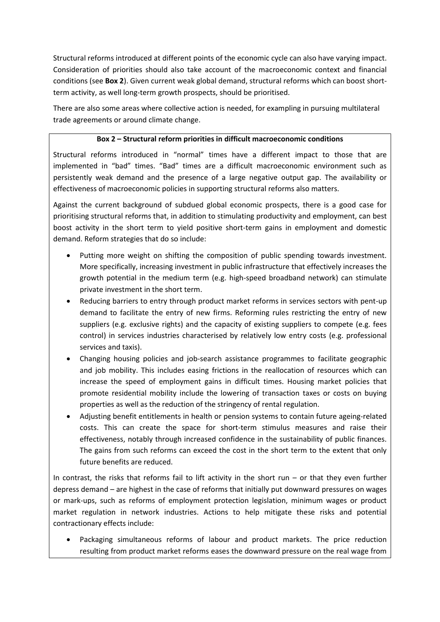Structural reforms introduced at different points of the economic cycle can also have varying impact. Consideration of priorities should also take account of the macroeconomic context and financial conditions (see **Box 2**). Given current weak global demand, structural reforms which can boost shortterm activity, as well long-term growth prospects, should be prioritised.

There are also some areas where collective action is needed, for exampling in pursuing multilateral trade agreements or around climate change.

# **Box 2 – Structural reform priorities in difficult macroeconomic conditions**

Structural reforms introduced in "normal" times have a different impact to those that are implemented in "bad" times. "Bad" times are a difficult macroeconomic environment such as persistently weak demand and the presence of a large negative output gap. The availability or effectiveness of macroeconomic policies in supporting structural reforms also matters.

Against the current background of subdued global economic prospects, there is a good case for prioritising structural reforms that, in addition to stimulating productivity and employment, can best boost activity in the short term to yield positive short-term gains in employment and domestic demand. Reform strategies that do so include:

- Putting more weight on shifting the composition of public spending towards investment. More specifically, increasing investment in public infrastructure that effectively increases the growth potential in the medium term (e.g. high-speed broadband network) can stimulate private investment in the short term.
- Reducing barriers to entry through product market reforms in services sectors with pent-up demand to facilitate the entry of new firms. Reforming rules restricting the entry of new suppliers (e.g. exclusive rights) and the capacity of existing suppliers to compete (e.g. fees control) in services industries characterised by relatively low entry costs (e.g. professional services and taxis).
- Changing housing policies and job-search assistance programmes to facilitate geographic and job mobility. This includes easing frictions in the reallocation of resources which can increase the speed of employment gains in difficult times. Housing market policies that promote residential mobility include the lowering of transaction taxes or costs on buying properties as well as the reduction of the stringency of rental regulation.
- Adjusting benefit entitlements in health or pension systems to contain future ageing-related costs. This can create the space for short-term stimulus measures and raise their effectiveness, notably through increased confidence in the sustainability of public finances. The gains from such reforms can exceed the cost in the short term to the extent that only future benefits are reduced.

In contrast, the risks that reforms fail to lift activity in the short run  $-$  or that they even further depress demand – are highest in the case of reforms that initially put downward pressures on wages or mark-ups, such as reforms of employment protection legislation, minimum wages or product market regulation in network industries. Actions to help mitigate these risks and potential contractionary effects include:

 Packaging simultaneous reforms of labour and product markets. The price reduction resulting from product market reforms eases the downward pressure on the real wage from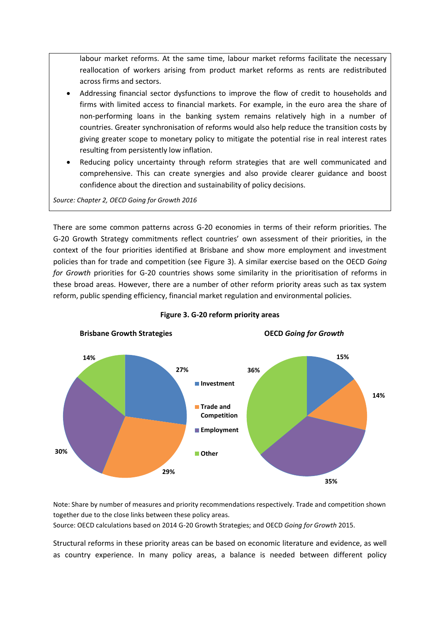labour market reforms. At the same time, labour market reforms facilitate the necessary reallocation of workers arising from product market reforms as rents are redistributed across firms and sectors.

- Addressing financial sector dysfunctions to improve the flow of credit to households and firms with limited access to financial markets. For example, in the euro area the share of non-performing loans in the banking system remains relatively high in a number of countries. Greater synchronisation of reforms would also help reduce the transition costs by giving greater scope to monetary policy to mitigate the potential rise in real interest rates resulting from persistently low inflation.
- Reducing policy uncertainty through reform strategies that are well communicated and comprehensive. This can create synergies and also provide clearer guidance and boost confidence about the direction and sustainability of policy decisions.

*Source: Chapter 2, OECD Going for Growth 2016*

There are some common patterns across G-20 economies in terms of their reform priorities. The G-20 Growth Strategy commitments reflect countries' own assessment of their priorities, in the context of the four priorities identified at Brisbane and show more employment and investment policies than for trade and competition (see Figure 3). A similar exercise based on the OECD *Going for Growth* priorities for G-20 countries shows some similarity in the prioritisation of reforms in these broad areas. However, there are a number of other reform priority areas such as tax system reform, public spending efficiency, financial market regulation and environmental policies.



**Figure 3. G-20 reform priority areas**

Note: Share by number of measures and priority recommendations respectively. Trade and competition shown together due to the close links between these policy areas.

Source: OECD calculations based on 2014 G-20 Growth Strategies; and OECD *Going for Growth* 2015.

Structural reforms in these priority areas can be based on economic literature and evidence, as well as country experience. In many policy areas, a balance is needed between different policy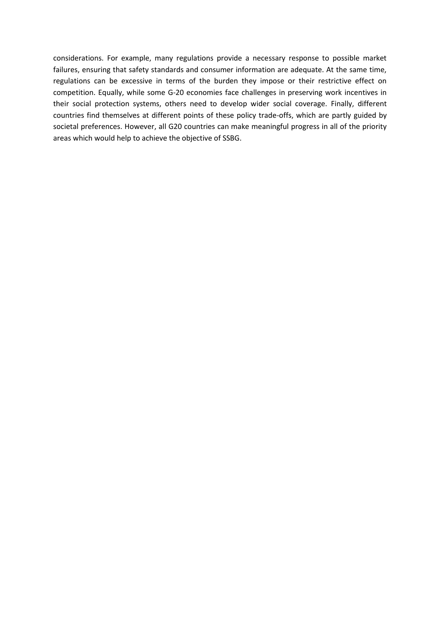considerations. For example, many regulations provide a necessary response to possible market failures, ensuring that safety standards and consumer information are adequate. At the same time, regulations can be excessive in terms of the burden they impose or their restrictive effect on competition. Equally, while some G-20 economies face challenges in preserving work incentives in their social protection systems, others need to develop wider social coverage. Finally, different countries find themselves at different points of these policy trade-offs, which are partly guided by societal preferences. However, all G20 countries can make meaningful progress in all of the priority areas which would help to achieve the objective of SSBG.